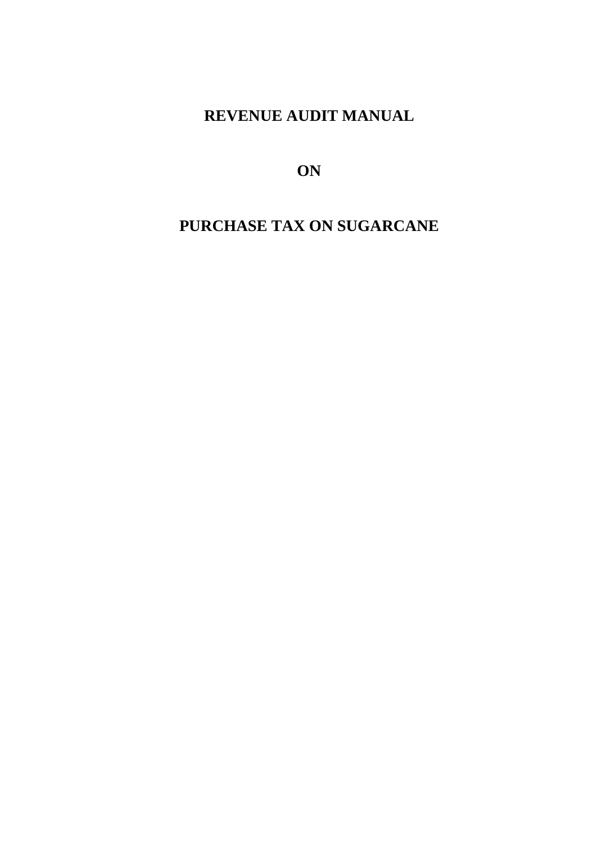# **REVENUE AUDIT MANUAL**

**ON**

# **PURCHASE TAX ON SUGARCANE**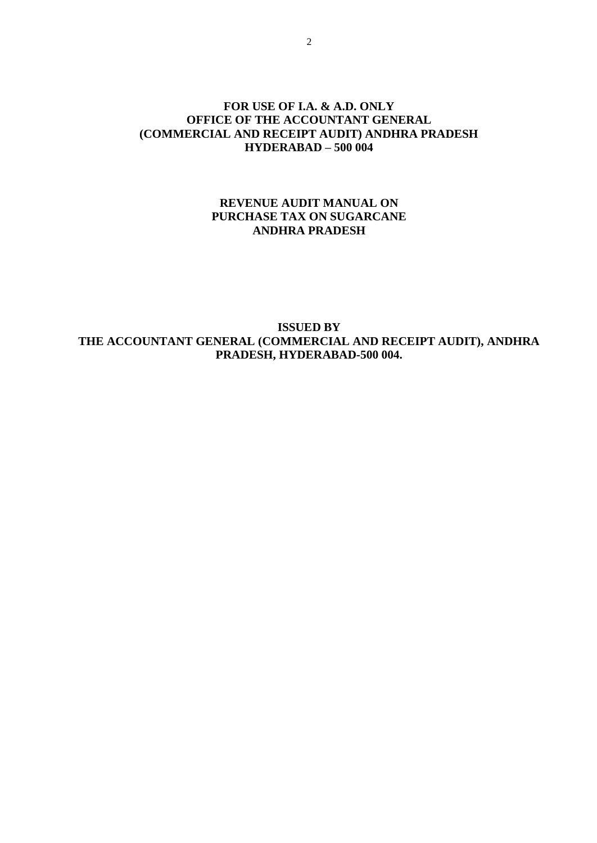#### **FOR USE OF I.A. & A.D. ONLY OFFICE OF THE ACCOUNTANT GENERAL (COMMERCIAL AND RECEIPT AUDIT) ANDHRA PRADESH HYDERABAD – 500 004**

#### **REVENUE AUDIT MANUAL ON PURCHASE TAX ON SUGARCANE ANDHRA PRADESH**

**ISSUED BY THE ACCOUNTANT GENERAL (COMMERCIAL AND RECEIPT AUDIT), ANDHRA PRADESH, HYDERABAD-500 004.**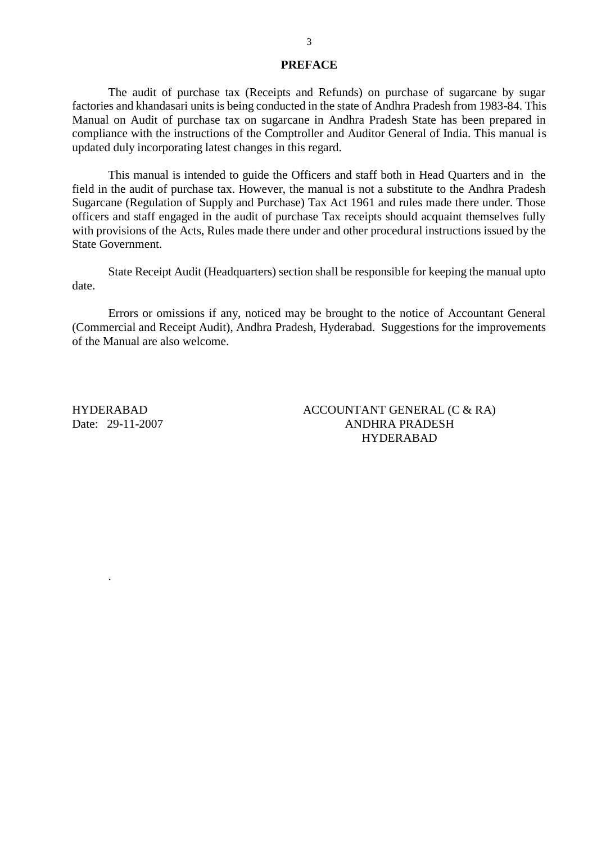#### **PREFACE**

The audit of purchase tax (Receipts and Refunds) on purchase of sugarcane by sugar factories and khandasari units is being conducted in the state of Andhra Pradesh from 1983-84. This Manual on Audit of purchase tax on sugarcane in Andhra Pradesh State has been prepared in compliance with the instructions of the Comptroller and Auditor General of India. This manual is updated duly incorporating latest changes in this regard.

This manual is intended to guide the Officers and staff both in Head Quarters and in the field in the audit of purchase tax. However, the manual is not a substitute to the Andhra Pradesh Sugarcane (Regulation of Supply and Purchase) Tax Act 1961 and rules made there under. Those officers and staff engaged in the audit of purchase Tax receipts should acquaint themselves fully with provisions of the Acts, Rules made there under and other procedural instructions issued by the State Government.

State Receipt Audit (Headquarters) section shall be responsible for keeping the manual upto date.

Errors or omissions if any, noticed may be brought to the notice of Accountant General (Commercial and Receipt Audit), Andhra Pradesh, Hyderabad. Suggestions for the improvements of the Manual are also welcome.

HYDERABAD Date: 29-11-2007

.

ACCOUNTANT GENERAL (C & RA) ANDHRA PRADESH HYDERABAD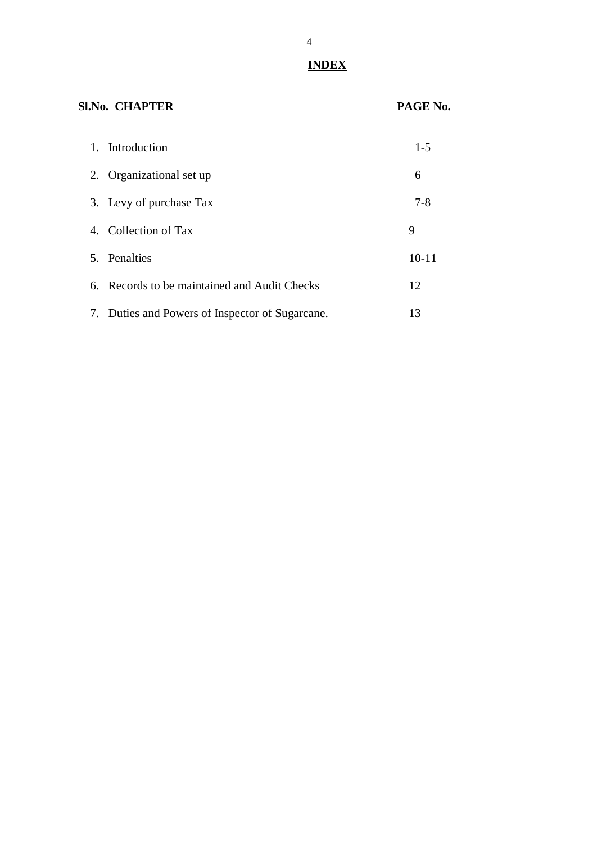## **INDEX**

| <b>SI.No. CHAPTER</b>                           | PAGE No.  |
|-------------------------------------------------|-----------|
| 1. Introduction                                 | $1-5$     |
| 2. Organizational set up                        | 6         |
| 3. Levy of purchase Tax                         | $7-8$     |
| 4. Collection of Tax                            | 9         |
| 5. Penalties                                    | $10 - 11$ |
| 6. Records to be maintained and Audit Checks    | 12        |
| 7. Duties and Powers of Inspector of Sugarcane. | 13        |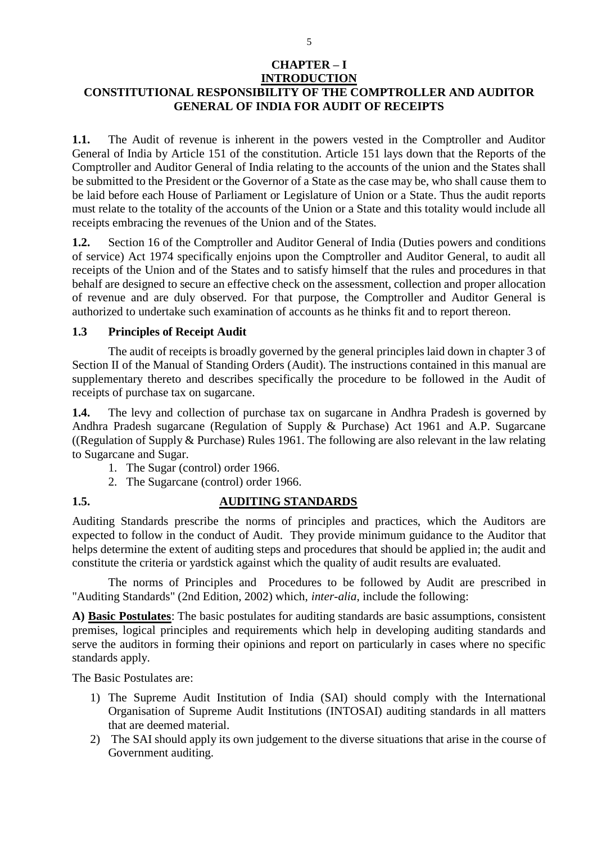#### **CHAPTER – I INTRODUCTION**

## **CONSTITUTIONAL RESPONSIBILITY OF THE COMPTROLLER AND AUDITOR GENERAL OF INDIA FOR AUDIT OF RECEIPTS**

**1.1.** The Audit of revenue is inherent in the powers vested in the Comptroller and Auditor General of India by Article 151 of the constitution. Article 151 lays down that the Reports of the Comptroller and Auditor General of India relating to the accounts of the union and the States shall be submitted to the President or the Governor of a State as the case may be, who shall cause them to be laid before each House of Parliament or Legislature of Union or a State. Thus the audit reports must relate to the totality of the accounts of the Union or a State and this totality would include all receipts embracing the revenues of the Union and of the States.

**1.2.** Section 16 of the Comptroller and Auditor General of India (Duties powers and conditions of service) Act 1974 specifically enjoins upon the Comptroller and Auditor General, to audit all receipts of the Union and of the States and to satisfy himself that the rules and procedures in that behalf are designed to secure an effective check on the assessment, collection and proper allocation of revenue and are duly observed. For that purpose, the Comptroller and Auditor General is authorized to undertake such examination of accounts as he thinks fit and to report thereon.

#### **1.3 Principles of Receipt Audit**

The audit of receipts is broadly governed by the general principles laid down in chapter 3 of Section II of the Manual of Standing Orders (Audit). The instructions contained in this manual are supplementary thereto and describes specifically the procedure to be followed in the Audit of receipts of purchase tax on sugarcane.

**1.4.** The levy and collection of purchase tax on sugarcane in Andhra Pradesh is governed by Andhra Pradesh sugarcane (Regulation of Supply & Purchase) Act 1961 and A.P. Sugarcane ((Regulation of Supply & Purchase) Rules 1961. The following are also relevant in the law relating to Sugarcane and Sugar.

- 1. The Sugar (control) order 1966.
- 2. The Sugarcane (control) order 1966.

## **1.5. AUDITING STANDARDS**

Auditing Standards prescribe the norms of principles and practices, which the Auditors are expected to follow in the conduct of Audit. They provide minimum guidance to the Auditor that helps determine the extent of auditing steps and procedures that should be applied in; the audit and constitute the criteria or yardstick against which the quality of audit results are evaluated.

The norms of Principles and Procedures to be followed by Audit are prescribed in "Auditing Standards" (2nd Edition, 2002) which, *inter-alia*, include the following:

**A) Basic Postulates**: The basic postulates for auditing standards are basic assumptions, consistent premises, logical principles and requirements which help in developing auditing standards and serve the auditors in forming their opinions and report on particularly in cases where no specific standards apply.

The Basic Postulates are:

- 1) The Supreme Audit Institution of India (SAI) should comply with the International Organisation of Supreme Audit Institutions (INTOSAI) auditing standards in all matters that are deemed material.
- 2) The SAI should apply its own judgement to the diverse situations that arise in the course of Government auditing.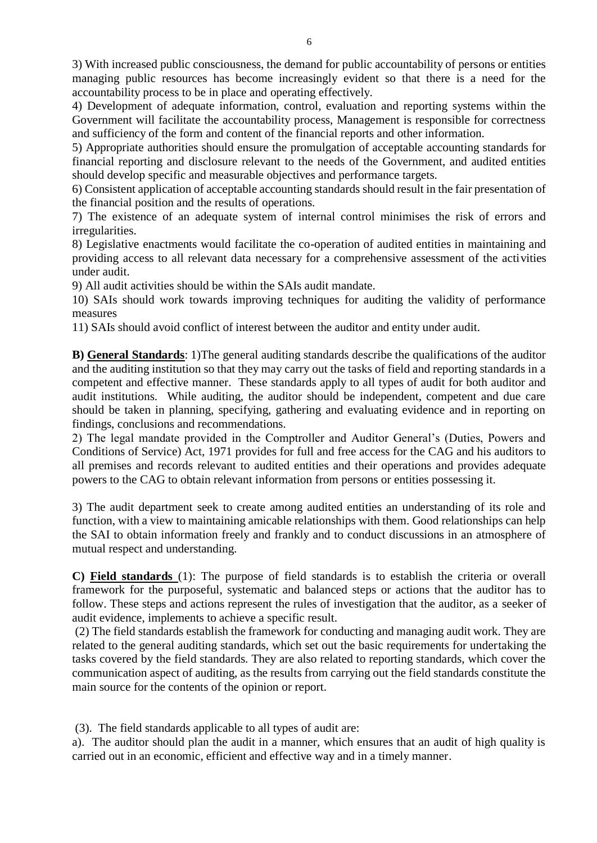3) With increased public consciousness, the demand for public accountability of persons or entities managing public resources has become increasingly evident so that there is a need for the accountability process to be in place and operating effectively.

4) Development of adequate information, control, evaluation and reporting systems within the Government will facilitate the accountability process, Management is responsible for correctness and sufficiency of the form and content of the financial reports and other information.

5) Appropriate authorities should ensure the promulgation of acceptable accounting standards for financial reporting and disclosure relevant to the needs of the Government, and audited entities should develop specific and measurable objectives and performance targets.

6) Consistent application of acceptable accounting standards should result in the fair presentation of the financial position and the results of operations.

7) The existence of an adequate system of internal control minimises the risk of errors and irregularities.

8) Legislative enactments would facilitate the co-operation of audited entities in maintaining and providing access to all relevant data necessary for a comprehensive assessment of the activities under audit.

9) All audit activities should be within the SAIs audit mandate.

10) SAIs should work towards improving techniques for auditing the validity of performance measures

11) SAIs should avoid conflict of interest between the auditor and entity under audit.

**B) General Standards**: 1)The general auditing standards describe the qualifications of the auditor and the auditing institution so that they may carry out the tasks of field and reporting standards in a competent and effective manner. These standards apply to all types of audit for both auditor and audit institutions. While auditing, the auditor should be independent, competent and due care should be taken in planning, specifying, gathering and evaluating evidence and in reporting on findings, conclusions and recommendations.

2) The legal mandate provided in the Comptroller and Auditor General's (Duties, Powers and Conditions of Service) Act, 1971 provides for full and free access for the CAG and his auditors to all premises and records relevant to audited entities and their operations and provides adequate powers to the CAG to obtain relevant information from persons or entities possessing it.

3) The audit department seek to create among audited entities an understanding of its role and function, with a view to maintaining amicable relationships with them. Good relationships can help the SAI to obtain information freely and frankly and to conduct discussions in an atmosphere of mutual respect and understanding.

**C) Field standards** (1): The purpose of field standards is to establish the criteria or overall framework for the purposeful, systematic and balanced steps or actions that the auditor has to follow. These steps and actions represent the rules of investigation that the auditor, as a seeker of audit evidence, implements to achieve a specific result.

(2) The field standards establish the framework for conducting and managing audit work. They are related to the general auditing standards, which set out the basic requirements for undertaking the tasks covered by the field standards. They are also related to reporting standards, which cover the communication aspect of auditing, as the results from carrying out the field standards constitute the main source for the contents of the opinion or report.

(3). The field standards applicable to all types of audit are:

a). The auditor should plan the audit in a manner, which ensures that an audit of high quality is carried out in an economic, efficient and effective way and in a timely manner.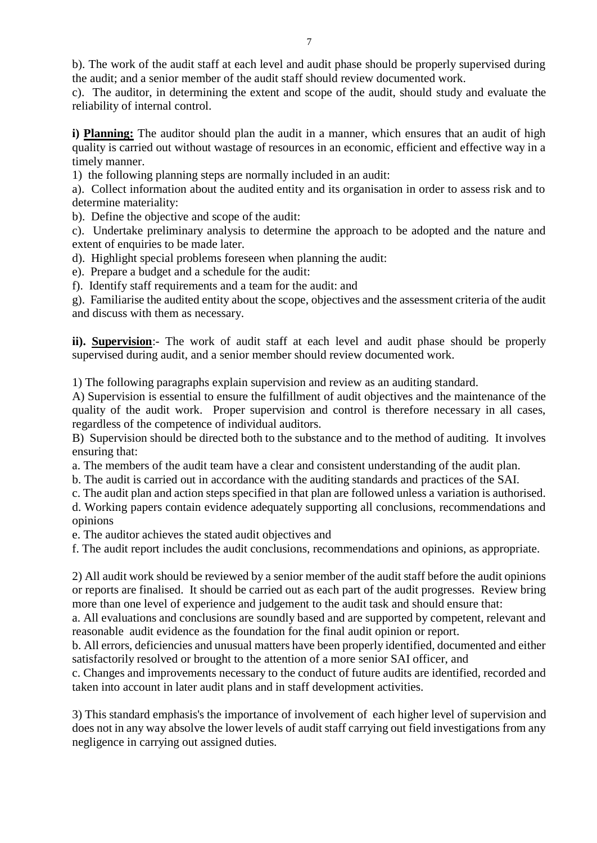b). The work of the audit staff at each level and audit phase should be properly supervised during the audit; and a senior member of the audit staff should review documented work.

c). The auditor, in determining the extent and scope of the audit, should study and evaluate the reliability of internal control.

**i) Planning:** The auditor should plan the audit in a manner, which ensures that an audit of high quality is carried out without wastage of resources in an economic, efficient and effective way in a timely manner.

1) the following planning steps are normally included in an audit:

a). Collect information about the audited entity and its organisation in order to assess risk and to determine materiality:

b). Define the objective and scope of the audit:

c). Undertake preliminary analysis to determine the approach to be adopted and the nature and extent of enquiries to be made later.

d). Highlight special problems foreseen when planning the audit:

e). Prepare a budget and a schedule for the audit:

f). Identify staff requirements and a team for the audit: and

g). Familiarise the audited entity about the scope, objectives and the assessment criteria of the audit and discuss with them as necessary.

**ii).** Supervision:- The work of audit staff at each level and audit phase should be properly supervised during audit, and a senior member should review documented work.

1) The following paragraphs explain supervision and review as an auditing standard.

A) Supervision is essential to ensure the fulfillment of audit objectives and the maintenance of the quality of the audit work. Proper supervision and control is therefore necessary in all cases, regardless of the competence of individual auditors.

B) Supervision should be directed both to the substance and to the method of auditing. It involves ensuring that:

a. The members of the audit team have a clear and consistent understanding of the audit plan.

b. The audit is carried out in accordance with the auditing standards and practices of the SAI.

c. The audit plan and action steps specified in that plan are followed unless a variation is authorised.

d. Working papers contain evidence adequately supporting all conclusions, recommendations and opinions

e. The auditor achieves the stated audit objectives and

f. The audit report includes the audit conclusions, recommendations and opinions, as appropriate.

2) All audit work should be reviewed by a senior member of the audit staff before the audit opinions or reports are finalised. It should be carried out as each part of the audit progresses. Review bring more than one level of experience and judgement to the audit task and should ensure that:

a. All evaluations and conclusions are soundly based and are supported by competent, relevant and reasonable audit evidence as the foundation for the final audit opinion or report.

b. All errors, deficiencies and unusual matters have been properly identified, documented and either satisfactorily resolved or brought to the attention of a more senior SAI officer, and

c. Changes and improvements necessary to the conduct of future audits are identified, recorded and taken into account in later audit plans and in staff development activities.

3) This standard emphasis's the importance of involvement of each higher level of supervision and does not in any way absolve the lower levels of audit staff carrying out field investigations from any negligence in carrying out assigned duties.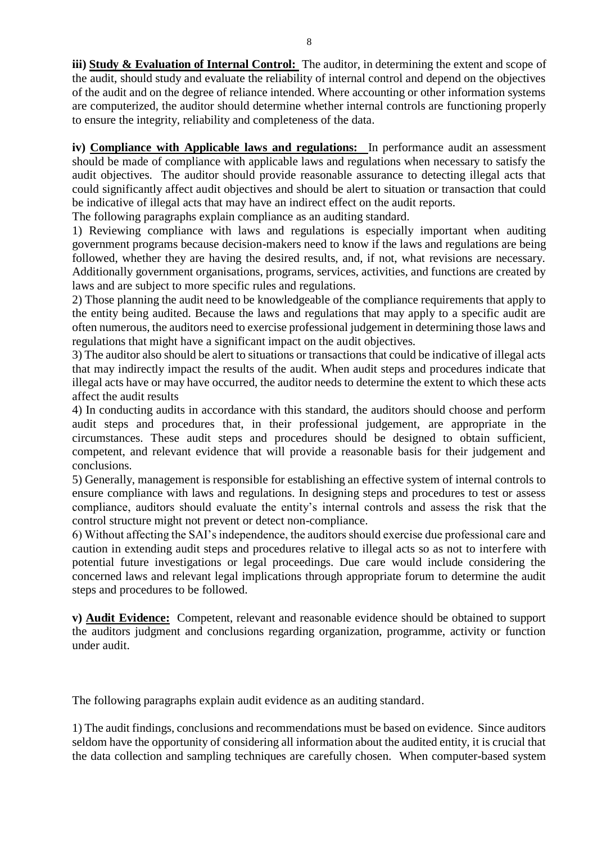**iii) Study & Evaluation of Internal Control:** The auditor, in determining the extent and scope of the audit, should study and evaluate the reliability of internal control and depend on the objectives of the audit and on the degree of reliance intended. Where accounting or other information systems are computerized, the auditor should determine whether internal controls are functioning properly to ensure the integrity, reliability and completeness of the data.

**iv) Compliance with Applicable laws and regulations:** In performance audit an assessment should be made of compliance with applicable laws and regulations when necessary to satisfy the audit objectives. The auditor should provide reasonable assurance to detecting illegal acts that could significantly affect audit objectives and should be alert to situation or transaction that could be indicative of illegal acts that may have an indirect effect on the audit reports.

The following paragraphs explain compliance as an auditing standard.

1) Reviewing compliance with laws and regulations is especially important when auditing government programs because decision-makers need to know if the laws and regulations are being followed, whether they are having the desired results, and, if not, what revisions are necessary. Additionally government organisations, programs, services, activities, and functions are created by laws and are subject to more specific rules and regulations.

2) Those planning the audit need to be knowledgeable of the compliance requirements that apply to the entity being audited. Because the laws and regulations that may apply to a specific audit are often numerous, the auditors need to exercise professional judgement in determining those laws and regulations that might have a significant impact on the audit objectives.

3) The auditor also should be alert to situations or transactions that could be indicative of illegal acts that may indirectly impact the results of the audit. When audit steps and procedures indicate that illegal acts have or may have occurred, the auditor needs to determine the extent to which these acts affect the audit results

4) In conducting audits in accordance with this standard, the auditors should choose and perform audit steps and procedures that, in their professional judgement, are appropriate in the circumstances. These audit steps and procedures should be designed to obtain sufficient, competent, and relevant evidence that will provide a reasonable basis for their judgement and conclusions.

5) Generally, management is responsible for establishing an effective system of internal controls to ensure compliance with laws and regulations. In designing steps and procedures to test or assess compliance, auditors should evaluate the entity's internal controls and assess the risk that the control structure might not prevent or detect non-compliance.

6) Without affecting the SAI's independence, the auditors should exercise due professional care and caution in extending audit steps and procedures relative to illegal acts so as not to interfere with potential future investigations or legal proceedings. Due care would include considering the concerned laws and relevant legal implications through appropriate forum to determine the audit steps and procedures to be followed.

**v) Audit Evidence:** Competent, relevant and reasonable evidence should be obtained to support the auditors judgment and conclusions regarding organization, programme, activity or function under audit.

The following paragraphs explain audit evidence as an auditing standard.

1) The audit findings, conclusions and recommendations must be based on evidence. Since auditors seldom have the opportunity of considering all information about the audited entity, it is crucial that the data collection and sampling techniques are carefully chosen. When computer-based system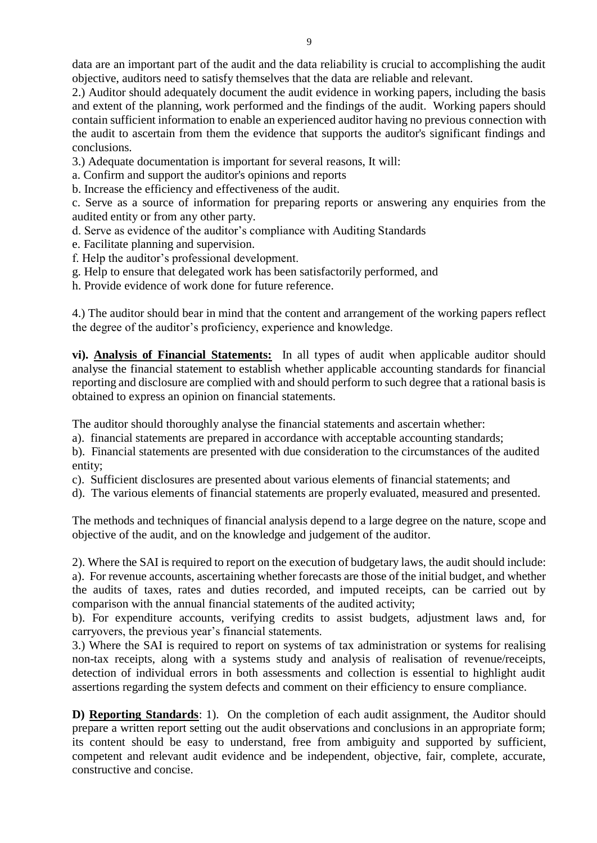2.) Auditor should adequately document the audit evidence in working papers, including the basis and extent of the planning, work performed and the findings of the audit. Working papers should contain sufficient information to enable an experienced auditor having no previous connection with the audit to ascertain from them the evidence that supports the auditor's significant findings and conclusions.

3.) Adequate documentation is important for several reasons, It will:

- a. Confirm and support the auditor's opinions and reports
- b. Increase the efficiency and effectiveness of the audit.

c. Serve as a source of information for preparing reports or answering any enquiries from the audited entity or from any other party.

- d. Serve as evidence of the auditor's compliance with Auditing Standards
- e. Facilitate planning and supervision.
- f. Help the auditor's professional development.
- g. Help to ensure that delegated work has been satisfactorily performed, and
- h. Provide evidence of work done for future reference.

4.) The auditor should bear in mind that the content and arrangement of the working papers reflect the degree of the auditor's proficiency, experience and knowledge.

**vi). Analysis of Financial Statements:** In all types of audit when applicable auditor should analyse the financial statement to establish whether applicable accounting standards for financial reporting and disclosure are complied with and should perform to such degree that a rational basis is obtained to express an opinion on financial statements.

The auditor should thoroughly analyse the financial statements and ascertain whether:

a). financial statements are prepared in accordance with acceptable accounting standards;

b). Financial statements are presented with due consideration to the circumstances of the audited entity;

- c). Sufficient disclosures are presented about various elements of financial statements; and
- d). The various elements of financial statements are properly evaluated, measured and presented.

The methods and techniques of financial analysis depend to a large degree on the nature, scope and objective of the audit, and on the knowledge and judgement of the auditor.

2). Where the SAI is required to report on the execution of budgetary laws, the audit should include: a). For revenue accounts, ascertaining whether forecasts are those of the initial budget, and whether the audits of taxes, rates and duties recorded, and imputed receipts, can be carried out by comparison with the annual financial statements of the audited activity;

b). For expenditure accounts, verifying credits to assist budgets, adjustment laws and, for carryovers, the previous year's financial statements.

3.) Where the SAI is required to report on systems of tax administration or systems for realising non-tax receipts, along with a systems study and analysis of realisation of revenue/receipts, detection of individual errors in both assessments and collection is essential to highlight audit assertions regarding the system defects and comment on their efficiency to ensure compliance.

**D) Reporting Standards**: 1). On the completion of each audit assignment, the Auditor should prepare a written report setting out the audit observations and conclusions in an appropriate form; its content should be easy to understand, free from ambiguity and supported by sufficient, competent and relevant audit evidence and be independent, objective, fair, complete, accurate, constructive and concise.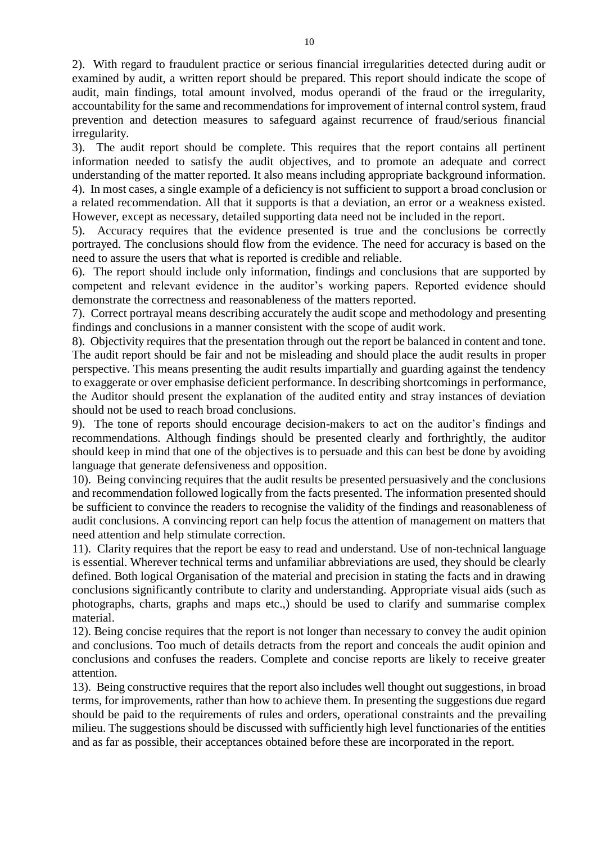2). With regard to fraudulent practice or serious financial irregularities detected during audit or examined by audit, a written report should be prepared. This report should indicate the scope of audit, main findings, total amount involved, modus operandi of the fraud or the irregularity, accountability for the same and recommendations for improvement of internal control system, fraud prevention and detection measures to safeguard against recurrence of fraud/serious financial irregularity.

3). The audit report should be complete. This requires that the report contains all pertinent information needed to satisfy the audit objectives, and to promote an adequate and correct understanding of the matter reported. It also means including appropriate background information. 4). In most cases, a single example of a deficiency is not sufficient to support a broad conclusion or a related recommendation. All that it supports is that a deviation, an error or a weakness existed. However, except as necessary, detailed supporting data need not be included in the report.

5). Accuracy requires that the evidence presented is true and the conclusions be correctly portrayed. The conclusions should flow from the evidence. The need for accuracy is based on the need to assure the users that what is reported is credible and reliable.

6). The report should include only information, findings and conclusions that are supported by competent and relevant evidence in the auditor's working papers. Reported evidence should demonstrate the correctness and reasonableness of the matters reported.

7). Correct portrayal means describing accurately the audit scope and methodology and presenting findings and conclusions in a manner consistent with the scope of audit work.

8). Objectivity requires that the presentation through out the report be balanced in content and tone. The audit report should be fair and not be misleading and should place the audit results in proper perspective. This means presenting the audit results impartially and guarding against the tendency to exaggerate or over emphasise deficient performance. In describing shortcomings in performance, the Auditor should present the explanation of the audited entity and stray instances of deviation should not be used to reach broad conclusions.

9). The tone of reports should encourage decision-makers to act on the auditor's findings and recommendations. Although findings should be presented clearly and forthrightly, the auditor should keep in mind that one of the objectives is to persuade and this can best be done by avoiding language that generate defensiveness and opposition.

10). Being convincing requires that the audit results be presented persuasively and the conclusions and recommendation followed logically from the facts presented. The information presented should be sufficient to convince the readers to recognise the validity of the findings and reasonableness of audit conclusions. A convincing report can help focus the attention of management on matters that need attention and help stimulate correction.

11). Clarity requires that the report be easy to read and understand. Use of non-technical language is essential. Wherever technical terms and unfamiliar abbreviations are used, they should be clearly defined. Both logical Organisation of the material and precision in stating the facts and in drawing conclusions significantly contribute to clarity and understanding. Appropriate visual aids (such as photographs, charts, graphs and maps etc.,) should be used to clarify and summarise complex material.

12). Being concise requires that the report is not longer than necessary to convey the audit opinion and conclusions. Too much of details detracts from the report and conceals the audit opinion and conclusions and confuses the readers. Complete and concise reports are likely to receive greater attention.

13). Being constructive requires that the report also includes well thought out suggestions, in broad terms, for improvements, rather than how to achieve them. In presenting the suggestions due regard should be paid to the requirements of rules and orders, operational constraints and the prevailing milieu. The suggestions should be discussed with sufficiently high level functionaries of the entities and as far as possible, their acceptances obtained before these are incorporated in the report.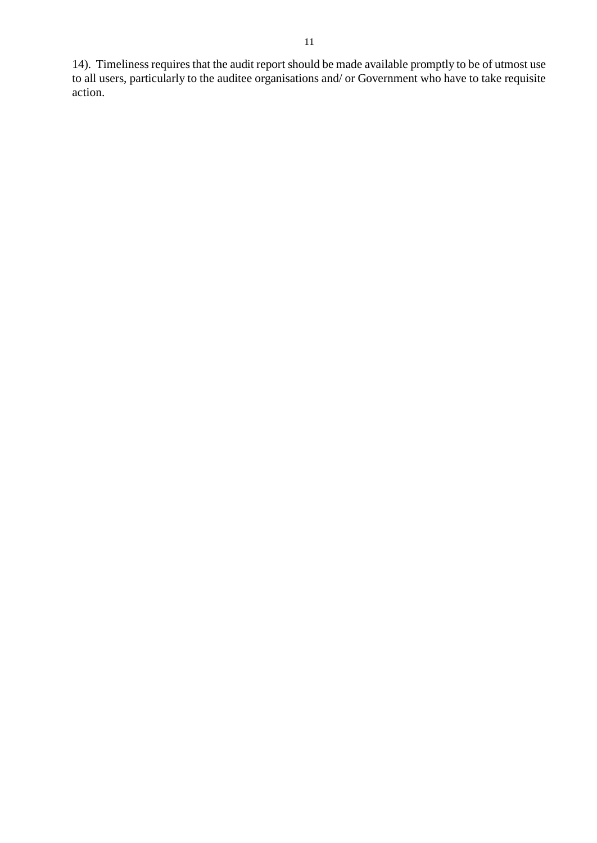14). Timeliness requires that the audit report should be made available promptly to be of utmost use to all users, particularly to the auditee organisations and/ or Government who have to take requisite action.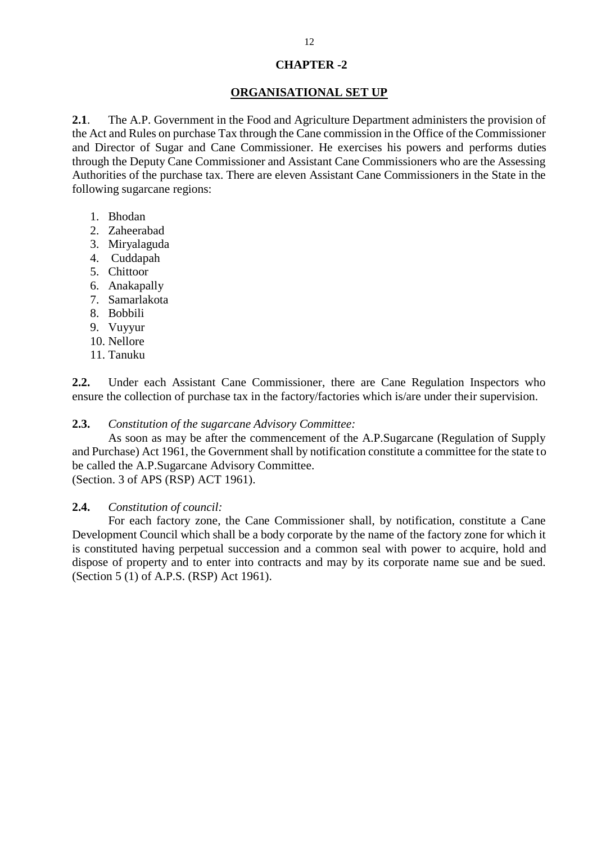#### **CHAPTER -2**

#### **ORGANISATIONAL SET UP**

**2.1**. The A.P. Government in the Food and Agriculture Department administers the provision of the Act and Rules on purchase Tax through the Cane commission in the Office of the Commissioner and Director of Sugar and Cane Commissioner. He exercises his powers and performs duties through the Deputy Cane Commissioner and Assistant Cane Commissioners who are the Assessing Authorities of the purchase tax. There are eleven Assistant Cane Commissioners in the State in the following sugarcane regions:

- 1. Bhodan
- 2. Zaheerabad
- 3. Miryalaguda
- 4. Cuddapah
- 5. Chittoor
- 6. Anakapally
- 7. Samarlakota
- 8. Bobbili
- 9. Vuyyur
- 10. Nellore
- 11. Tanuku

**2.2.** Under each Assistant Cane Commissioner, there are Cane Regulation Inspectors who ensure the collection of purchase tax in the factory/factories which is/are under their supervision.

#### **2.3.** *Constitution of the sugarcane Advisory Committee:*

As soon as may be after the commencement of the A.P.Sugarcane (Regulation of Supply and Purchase) Act 1961, the Government shall by notification constitute a committee for the state to be called the A.P.Sugarcane Advisory Committee.

(Section. 3 of APS (RSP) ACT 1961).

#### **2.4.** *Constitution of council:*

For each factory zone, the Cane Commissioner shall, by notification, constitute a Cane Development Council which shall be a body corporate by the name of the factory zone for which it is constituted having perpetual succession and a common seal with power to acquire, hold and dispose of property and to enter into contracts and may by its corporate name sue and be sued. (Section 5 (1) of A.P.S. (RSP) Act 1961).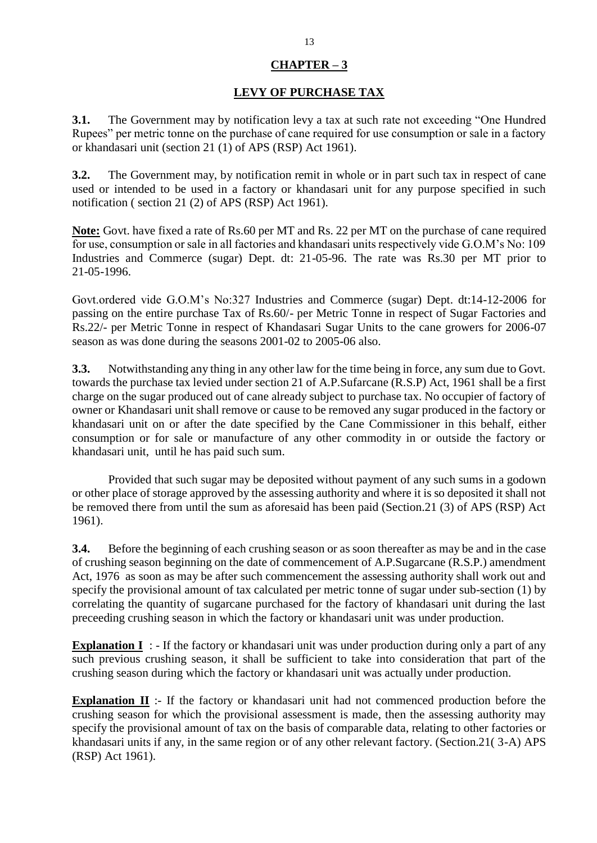#### **CHAPTER – 3**

#### **LEVY OF PURCHASE TAX**

**3.1.** The Government may by notification levy a tax at such rate not exceeding "One Hundred" Rupees" per metric tonne on the purchase of cane required for use consumption or sale in a factory or khandasari unit (section 21 (1) of APS (RSP) Act 1961).

**3.2.** The Government may, by notification remit in whole or in part such tax in respect of cane used or intended to be used in a factory or khandasari unit for any purpose specified in such notification ( section 21 (2) of APS (RSP) Act 1961).

**Note:** Govt. have fixed a rate of Rs.60 per MT and Rs. 22 per MT on the purchase of cane required for use, consumption or sale in all factories and khandasari units respectively vide G.O.M's No: 109 Industries and Commerce (sugar) Dept. dt: 21-05-96. The rate was Rs.30 per MT prior to 21-05-1996.

Govt.ordered vide G.O.M's No:327 Industries and Commerce (sugar) Dept. dt:14-12-2006 for passing on the entire purchase Tax of Rs.60/- per Metric Tonne in respect of Sugar Factories and Rs.22/- per Metric Tonne in respect of Khandasari Sugar Units to the cane growers for 2006-07 season as was done during the seasons 2001-02 to 2005-06 also.

**3.3.** Notwithstanding any thing in any other law for the time being in force, any sum due to Govt. towards the purchase tax levied under section 21 of A.P.Sufarcane (R.S.P) Act, 1961 shall be a first charge on the sugar produced out of cane already subject to purchase tax. No occupier of factory of owner or Khandasari unit shall remove or cause to be removed any sugar produced in the factory or khandasari unit on or after the date specified by the Cane Commissioner in this behalf, either consumption or for sale or manufacture of any other commodity in or outside the factory or khandasari unit, until he has paid such sum.

Provided that such sugar may be deposited without payment of any such sums in a godown or other place of storage approved by the assessing authority and where it is so deposited it shall not be removed there from until the sum as aforesaid has been paid (Section.21 (3) of APS (RSP) Act 1961).

**3.4.** Before the beginning of each crushing season or as soon thereafter as may be and in the case of crushing season beginning on the date of commencement of A.P.Sugarcane (R.S.P.) amendment Act, 1976 as soon as may be after such commencement the assessing authority shall work out and specify the provisional amount of tax calculated per metric tonne of sugar under sub-section (1) by correlating the quantity of sugarcane purchased for the factory of khandasari unit during the last preceeding crushing season in which the factory or khandasari unit was under production.

**Explanation I** : - If the factory or khandasari unit was under production during only a part of any such previous crushing season, it shall be sufficient to take into consideration that part of the crushing season during which the factory or khandasari unit was actually under production.

**Explanation II** :- If the factory or khandasari unit had not commenced production before the crushing season for which the provisional assessment is made, then the assessing authority may specify the provisional amount of tax on the basis of comparable data, relating to other factories or khandasari units if any, in the same region or of any other relevant factory. (Section.21( 3-A) APS (RSP) Act 1961).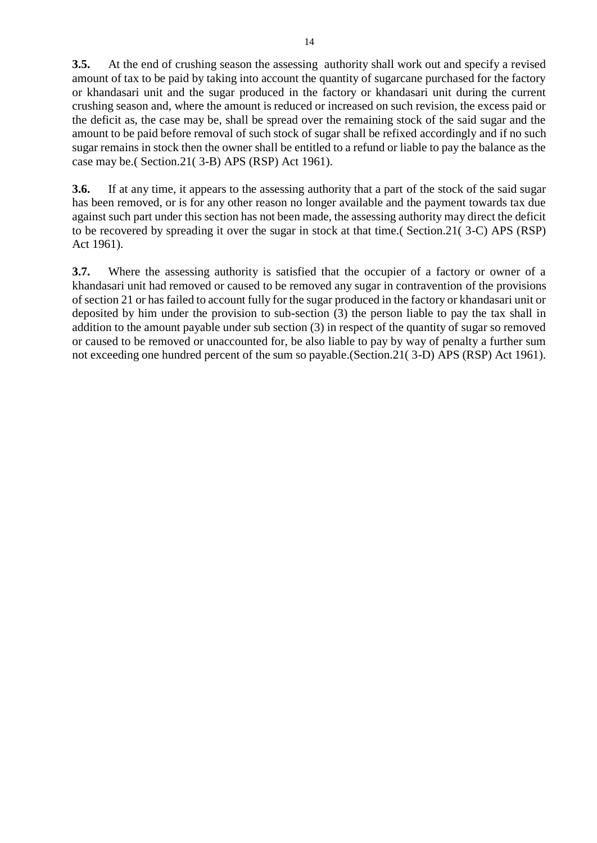**3.5.** At the end of crushing season the assessing authority shall work out and specify a revised amount of tax to be paid by taking into account the quantity of sugarcane purchased for the factory or khandasari unit and the sugar produced in the factory or khandasari unit during the current crushing season and, where the amount is reduced or increased on such revision, the excess paid or the deficit as, the case may be, shall be spread over the remaining stock of the said sugar and the amount to be paid before removal of such stock of sugar shall be refixed accordingly and if no such sugar remains in stock then the owner shall be entitled to a refund or liable to pay the balance as the case may be.( Section.21( 3-B) APS (RSP) Act 1961).

**3.6.** If at any time, it appears to the assessing authority that a part of the stock of the said sugar has been removed, or is for any other reason no longer available and the payment towards tax due against such part under this section has not been made, the assessing authority may direct the deficit to be recovered by spreading it over the sugar in stock at that time.( Section.21( 3-C) APS (RSP) Act 1961).

**3.7.** Where the assessing authority is satisfied that the occupier of a factory or owner of a khandasari unit had removed or caused to be removed any sugar in contravention of the provisions of section 21 or has failed to account fully for the sugar produced in the factory or khandasari unit or deposited by him under the provision to sub-section (3) the person liable to pay the tax shall in addition to the amount payable under sub section (3) in respect of the quantity of sugar so removed or caused to be removed or unaccounted for, be also liable to pay by way of penalty a further sum not exceeding one hundred percent of the sum so payable.(Section.21( 3-D) APS (RSP) Act 1961).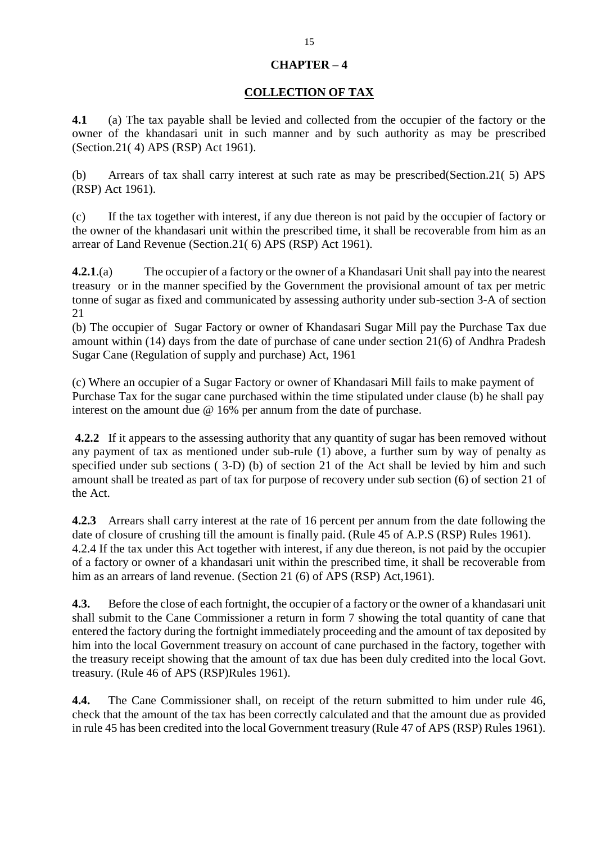#### **CHAPTER – 4**

#### **COLLECTION OF TAX**

**4.1** (a) The tax payable shall be levied and collected from the occupier of the factory or the owner of the khandasari unit in such manner and by such authority as may be prescribed (Section.21( 4) APS (RSP) Act 1961).

(b) Arrears of tax shall carry interest at such rate as may be prescribed(Section.21( 5) APS (RSP) Act 1961).

(c) If the tax together with interest, if any due thereon is not paid by the occupier of factory or the owner of the khandasari unit within the prescribed time, it shall be recoverable from him as an arrear of Land Revenue (Section.21( 6) APS (RSP) Act 1961).

**4.2.1**.(a) The occupier of a factory or the owner of a Khandasari Unit shall pay into the nearest treasury or in the manner specified by the Government the provisional amount of tax per metric tonne of sugar as fixed and communicated by assessing authority under sub-section 3-A of section 21

(b) The occupier of Sugar Factory or owner of Khandasari Sugar Mill pay the Purchase Tax due amount within (14) days from the date of purchase of cane under section 21(6) of Andhra Pradesh Sugar Cane (Regulation of supply and purchase) Act, 1961

(c) Where an occupier of a Sugar Factory or owner of Khandasari Mill fails to make payment of Purchase Tax for the sugar cane purchased within the time stipulated under clause (b) he shall pay interest on the amount due @ 16% per annum from the date of purchase.

**4.2.2** If it appears to the assessing authority that any quantity of sugar has been removed without any payment of tax as mentioned under sub-rule (1) above, a further sum by way of penalty as specified under sub sections ( 3-D) (b) of section 21 of the Act shall be levied by him and such amount shall be treated as part of tax for purpose of recovery under sub section (6) of section 21 of the Act.

**4.2.3** Arrears shall carry interest at the rate of 16 percent per annum from the date following the date of closure of crushing till the amount is finally paid. (Rule 45 of A.P.S (RSP) Rules 1961). 4.2.4 If the tax under this Act together with interest, if any due thereon, is not paid by the occupier of a factory or owner of a khandasari unit within the prescribed time, it shall be recoverable from him as an arrears of land revenue. (Section 21 (6) of APS (RSP) Act, 1961).

**4.3.** Before the close of each fortnight, the occupier of a factory or the owner of a khandasari unit shall submit to the Cane Commissioner a return in form 7 showing the total quantity of cane that entered the factory during the fortnight immediately proceeding and the amount of tax deposited by him into the local Government treasury on account of cane purchased in the factory, together with the treasury receipt showing that the amount of tax due has been duly credited into the local Govt. treasury. (Rule 46 of APS (RSP)Rules 1961).

**4.4.** The Cane Commissioner shall, on receipt of the return submitted to him under rule 46, check that the amount of the tax has been correctly calculated and that the amount due as provided in rule 45 has been credited into the local Government treasury (Rule 47 of APS (RSP) Rules 1961).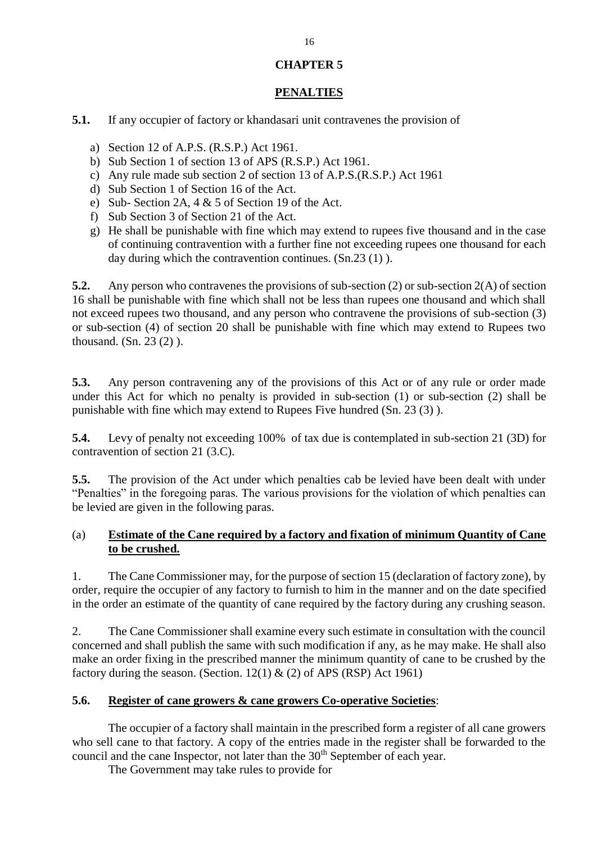#### **CHAPTER 5**

## **PENALTIES**

**5.1.** If any occupier of factory or khandasari unit contravenes the provision of

- a) Section 12 of A.P.S. (R.S.P.) Act 1961.
- b) Sub Section 1 of section 13 of APS (R.S.P.) Act 1961.
- c) Any rule made sub section 2 of section 13 of A.P.S.(R.S.P.) Act 1961
- d) Sub Section 1 of Section 16 of the Act.
- e) Sub- Section 2A, 4 & 5 of Section 19 of the Act.
- f) Sub Section 3 of Section 21 of the Act.
- g) He shall be punishable with fine which may extend to rupees five thousand and in the case of continuing contravention with a further fine not exceeding rupees one thousand for each day during which the contravention continues. (Sn.23 (1) ).

**5.2.** Any person who contravenes the provisions of sub-section (2) or sub-section 2(A) of section 16 shall be punishable with fine which shall not be less than rupees one thousand and which shall not exceed rupees two thousand, and any person who contravene the provisions of sub-section (3) or sub-section (4) of section 20 shall be punishable with fine which may extend to Rupees two thousand. (Sn. 23 (2) ).

**5.3.** Any person contravening any of the provisions of this Act or of any rule or order made under this Act for which no penalty is provided in sub-section (1) or sub-section (2) shall be punishable with fine which may extend to Rupees Five hundred (Sn. 23 (3) ).

**5.4.** Levy of penalty not exceeding 100% of tax due is contemplated in sub-section 21 (3D) for contravention of section 21 (3.C).

**5.5.** The provision of the Act under which penalties cab be levied have been dealt with under "Penalties" in the foregoing paras. The various provisions for the violation of which penalties can be levied are given in the following paras.

#### (a) **Estimate of the Cane required by a factory and fixation of minimum Quantity of Cane to be crushed.**

1. The Cane Commissioner may, for the purpose of section 15 (declaration of factory zone), by order, require the occupier of any factory to furnish to him in the manner and on the date specified in the order an estimate of the quantity of cane required by the factory during any crushing season.

2. The Cane Commissioner shall examine every such estimate in consultation with the council concerned and shall publish the same with such modification if any, as he may make. He shall also make an order fixing in the prescribed manner the minimum quantity of cane to be crushed by the factory during the season. (Section.  $12(1)$  & (2) of APS (RSP) Act 1961)

#### **5.6. Register of cane growers & cane growers Co-operative Societies**:

The occupier of a factory shall maintain in the prescribed form a register of all cane growers who sell cane to that factory. A copy of the entries made in the register shall be forwarded to the council and the cane Inspector, not later than the  $30<sup>th</sup>$  September of each year.

The Government may take rules to provide for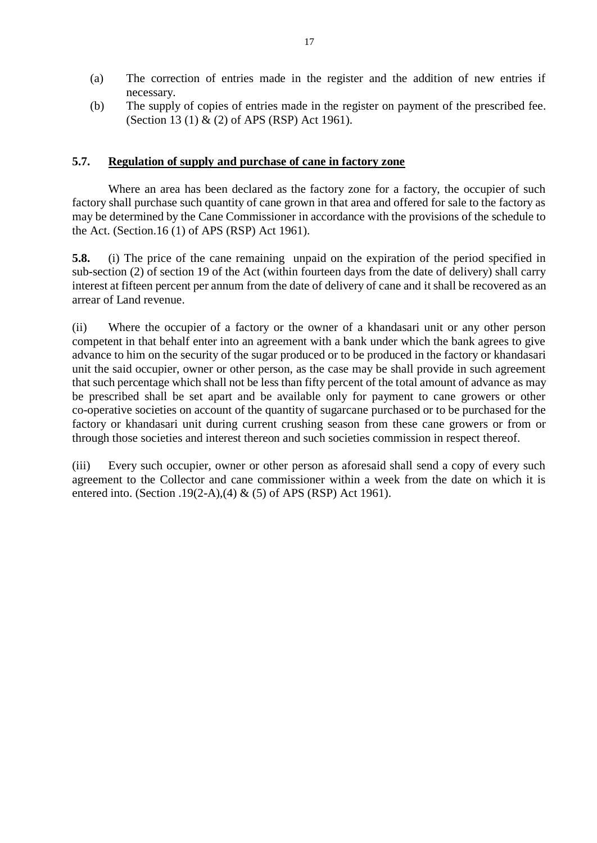- (a) The correction of entries made in the register and the addition of new entries if necessary.
- (b) The supply of copies of entries made in the register on payment of the prescribed fee. (Section 13 (1) & (2) of APS (RSP) Act 1961).

#### **5.7. Regulation of supply and purchase of cane in factory zone**

Where an area has been declared as the factory zone for a factory, the occupier of such factory shall purchase such quantity of cane grown in that area and offered for sale to the factory as may be determined by the Cane Commissioner in accordance with the provisions of the schedule to the Act. (Section.16 (1) of APS (RSP) Act 1961).

**5.8.** (i) The price of the cane remaining unpaid on the expiration of the period specified in sub-section (2) of section 19 of the Act (within fourteen days from the date of delivery) shall carry interest at fifteen percent per annum from the date of delivery of cane and it shall be recovered as an arrear of Land revenue.

(ii) Where the occupier of a factory or the owner of a khandasari unit or any other person competent in that behalf enter into an agreement with a bank under which the bank agrees to give advance to him on the security of the sugar produced or to be produced in the factory or khandasari unit the said occupier, owner or other person, as the case may be shall provide in such agreement that such percentage which shall not be less than fifty percent of the total amount of advance as may be prescribed shall be set apart and be available only for payment to cane growers or other co-operative societies on account of the quantity of sugarcane purchased or to be purchased for the factory or khandasari unit during current crushing season from these cane growers or from or through those societies and interest thereon and such societies commission in respect thereof.

(iii) Every such occupier, owner or other person as aforesaid shall send a copy of every such agreement to the Collector and cane commissioner within a week from the date on which it is entered into. (Section .19(2-A),(4) & (5) of APS (RSP) Act 1961).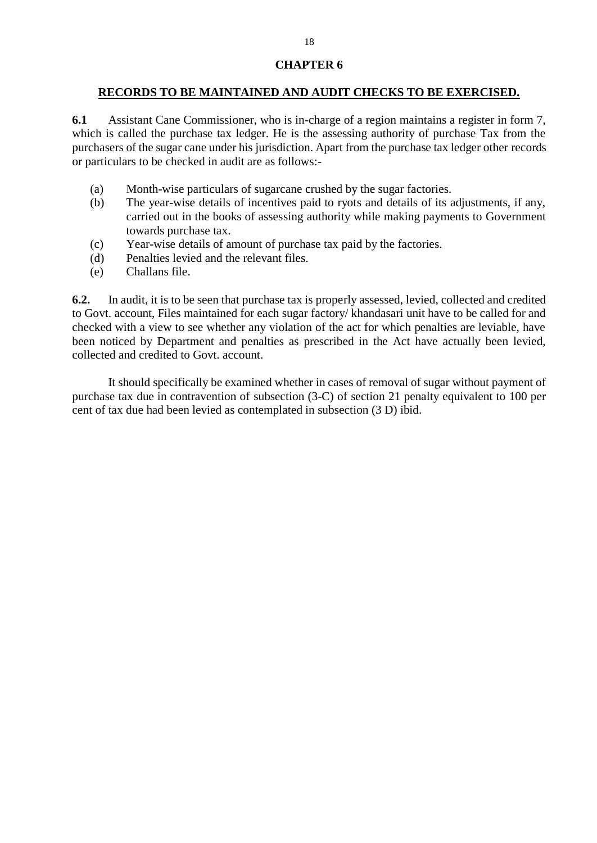#### **CHAPTER 6**

#### **RECORDS TO BE MAINTAINED AND AUDIT CHECKS TO BE EXERCISED.**

**6.1** Assistant Cane Commissioner, who is in-charge of a region maintains a register in form 7, which is called the purchase tax ledger. He is the assessing authority of purchase Tax from the purchasers of the sugar cane under his jurisdiction. Apart from the purchase tax ledger other records or particulars to be checked in audit are as follows:-

- (a) Month-wise particulars of sugarcane crushed by the sugar factories.
- (b) The year-wise details of incentives paid to ryots and details of its adjustments, if any, carried out in the books of assessing authority while making payments to Government towards purchase tax.
- (c) Year-wise details of amount of purchase tax paid by the factories.
- (d) Penalties levied and the relevant files.
- (e) Challans file.

**6.2.** In audit, it is to be seen that purchase tax is properly assessed, levied, collected and credited to Govt. account, Files maintained for each sugar factory/ khandasari unit have to be called for and checked with a view to see whether any violation of the act for which penalties are leviable, have been noticed by Department and penalties as prescribed in the Act have actually been levied, collected and credited to Govt. account.

It should specifically be examined whether in cases of removal of sugar without payment of purchase tax due in contravention of subsection (3-C) of section 21 penalty equivalent to 100 per cent of tax due had been levied as contemplated in subsection (3 D) ibid.